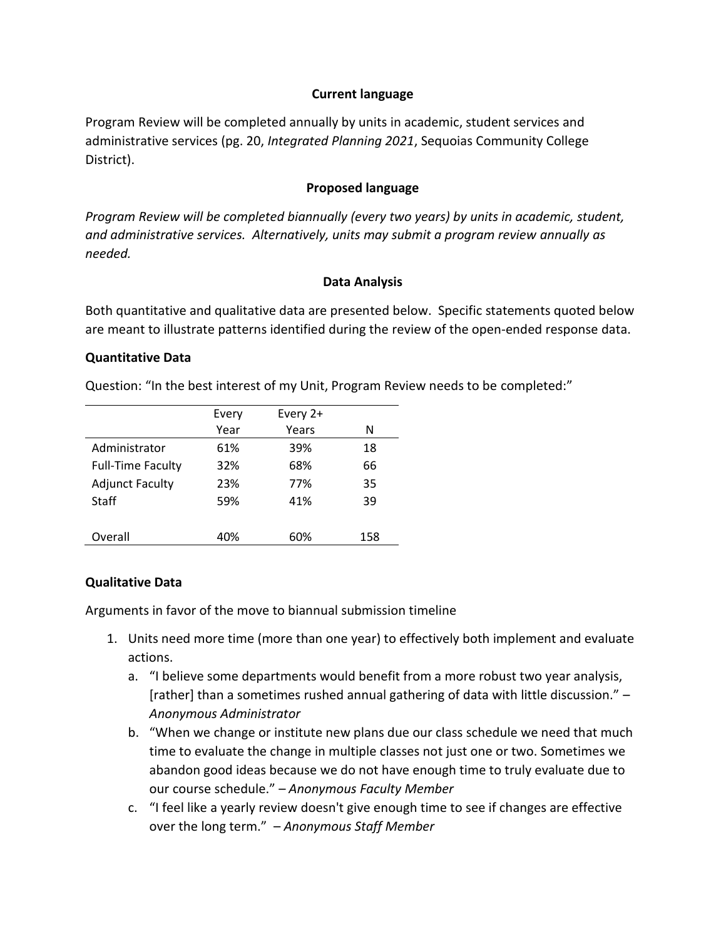## **Current language**

Program Review will be completed annually by units in academic, student services and administrative services (pg. 20, *Integrated Planning 2021*, Sequoias Community College District).

## **Proposed language**

*Program Review will be completed biannually (every two years) by units in academic, student, and administrative services. Alternatively, units may submit a program review annually as needed.* 

#### **Data Analysis**

Both quantitative and qualitative data are presented below. Specific statements quoted below are meant to illustrate patterns identified during the review of the open-ended response data.

#### **Quantitative Data**

Question: "In the best interest of my Unit, Program Review needs to be completed:"

|                          | Every | Every 2+ |     |
|--------------------------|-------|----------|-----|
|                          | Year  | Years    | N   |
| Administrator            | 61%   | 39%      | 18  |
| <b>Full-Time Faculty</b> | 32%   | 68%      | 66  |
| <b>Adjunct Faculty</b>   | 23%   | 77%      | 35  |
| <b>Staff</b>             | 59%   | 41%      | 39  |
|                          |       |          |     |
| Overall                  | 40%   | 60%      | 158 |

## **Qualitative Data**

Arguments in favor of the move to biannual submission timeline

- 1. Units need more time (more than one year) to effectively both implement and evaluate actions.
	- a. "I believe some departments would benefit from a more robust two year analysis, [rather] than a sometimes rushed annual gathering of data with little discussion." – *Anonymous Administrator*
	- b. "When we change or institute new plans due our class schedule we need that much time to evaluate the change in multiple classes not just one or two. Sometimes we abandon good ideas because we do not have enough time to truly evaluate due to our course schedule." – *Anonymous Faculty Member*
	- c. "I feel like a yearly review doesn't give enough time to see if changes are effective over the long term." – *Anonymous Staff Member*